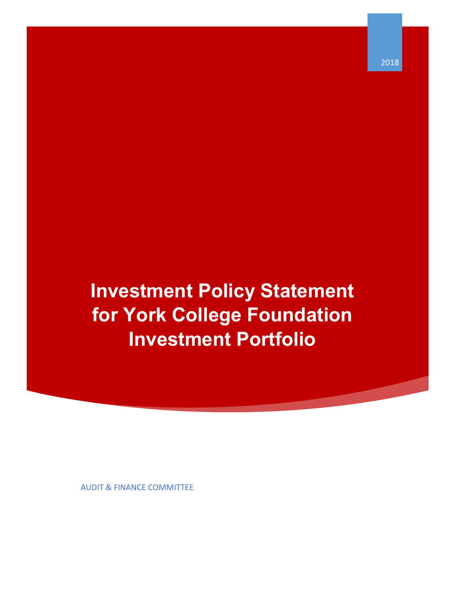**Investment Policy Statement for York College Foundation Investment Portfolio**

AUDIT & FINANCE COMMITTEE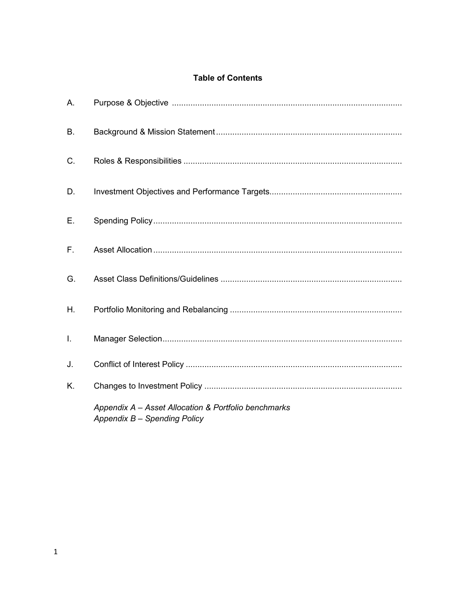# **Table of Contents**

| А. |                                                                                      |
|----|--------------------------------------------------------------------------------------|
| В. |                                                                                      |
| C. |                                                                                      |
| D. |                                                                                      |
| Ε. |                                                                                      |
| F. |                                                                                      |
| G. |                                                                                      |
| Η. |                                                                                      |
| I. |                                                                                      |
| J. |                                                                                      |
| K. |                                                                                      |
|    | Appendix A - Asset Allocation & Portfolio benchmarks<br>Appendix B - Spending Policy |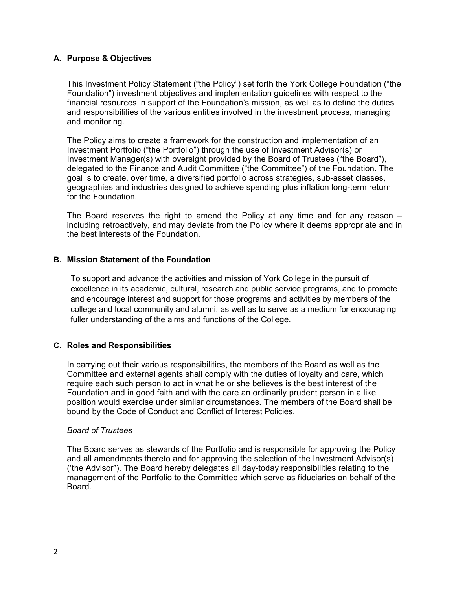## **A. Purpose & Objectives**

This Investment Policy Statement ("the Policy") set forth the York College Foundation ("the Foundation") investment objectives and implementation guidelines with respect to the financial resources in support of the Foundation's mission, as well as to define the duties and responsibilities of the various entities involved in the investment process, managing and monitoring.

The Policy aims to create a framework for the construction and implementation of an Investment Portfolio ("the Portfolio") through the use of Investment Advisor(s) or Investment Manager(s) with oversight provided by the Board of Trustees ("the Board"), delegated to the Finance and Audit Committee ("the Committee") of the Foundation. The goal is to create, over time, a diversified portfolio across strategies, sub-asset classes, geographies and industries designed to achieve spending plus inflation long-term return for the Foundation.

The Board reserves the right to amend the Policy at any time and for any reason – including retroactively, and may deviate from the Policy where it deems appropriate and in the best interests of the Foundation.

## **B. Mission Statement of the Foundation**

To support and advance the activities and mission of York College in the pursuit of excellence in its academic, cultural, research and public service programs, and to promote and encourage interest and support for those programs and activities by members of the college and local community and alumni, as well as to serve as a medium for encouraging fuller understanding of the aims and functions of the College.

## **C. Roles and Responsibilities**

In carrying out their various responsibilities, the members of the Board as well as the Committee and external agents shall comply with the duties of loyalty and care, which require each such person to act in what he or she believes is the best interest of the Foundation and in good faith and with the care an ordinarily prudent person in a like position would exercise under similar circumstances. The members of the Board shall be bound by the Code of Conduct and Conflict of Interest Policies.

## *Board of Trustees*

The Board serves as stewards of the Portfolio and is responsible for approving the Policy and all amendments thereto and for approving the selection of the Investment Advisor(s) ('the Advisor"). The Board hereby delegates all day-today responsibilities relating to the management of the Portfolio to the Committee which serve as fiduciaries on behalf of the Board.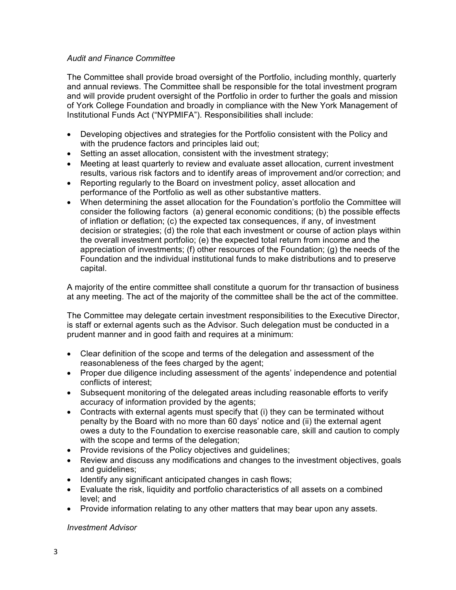## *Audit and Finance Committee*

The Committee shall provide broad oversight of the Portfolio, including monthly, quarterly and annual reviews. The Committee shall be responsible for the total investment program and will provide prudent oversight of the Portfolio in order to further the goals and mission of York College Foundation and broadly in compliance with the New York Management of Institutional Funds Act ("NYPMIFA"). Responsibilities shall include:

- Developing objectives and strategies for the Portfolio consistent with the Policy and with the prudence factors and principles laid out;
- Setting an asset allocation, consistent with the investment strategy;
- Meeting at least quarterly to review and evaluate asset allocation, current investment results, various risk factors and to identify areas of improvement and/or correction; and
- Reporting regularly to the Board on investment policy, asset allocation and performance of the Portfolio as well as other substantive matters.
- When determining the asset allocation for the Foundation's portfolio the Committee will consider the following factors (a) general economic conditions; (b) the possible effects of inflation or deflation; (c) the expected tax consequences, if any, of investment decision or strategies; (d) the role that each investment or course of action plays within the overall investment portfolio; (e) the expected total return from income and the appreciation of investments; (f) other resources of the Foundation; (g) the needs of the Foundation and the individual institutional funds to make distributions and to preserve capital.

A majority of the entire committee shall constitute a quorum for thr transaction of business at any meeting. The act of the majority of the committee shall be the act of the committee.

The Committee may delegate certain investment responsibilities to the Executive Director, is staff or external agents such as the Advisor. Such delegation must be conducted in a prudent manner and in good faith and requires at a minimum:

- Clear definition of the scope and terms of the delegation and assessment of the reasonableness of the fees charged by the agent;
- Proper due diligence including assessment of the agents' independence and potential conflicts of interest;
- Subsequent monitoring of the delegated areas including reasonable efforts to verify accuracy of information provided by the agents;
- Contracts with external agents must specify that (i) they can be terminated without penalty by the Board with no more than 60 days' notice and (ii) the external agent owes a duty to the Foundation to exercise reasonable care, skill and caution to comply with the scope and terms of the delegation;
- Provide revisions of the Policy objectives and guidelines;
- Review and discuss any modifications and changes to the investment objectives, goals and guidelines;
- Identify any significant anticipated changes in cash flows;
- Evaluate the risk, liquidity and portfolio characteristics of all assets on a combined level; and
- Provide information relating to any other matters that may bear upon any assets.

## *Investment Advisor*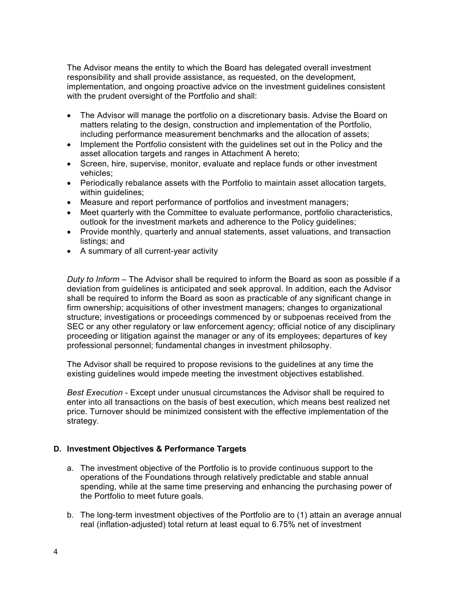The Advisor means the entity to which the Board has delegated overall investment responsibility and shall provide assistance, as requested, on the development, implementation, and ongoing proactive advice on the investment guidelines consistent with the prudent oversight of the Portfolio and shall:

- The Advisor will manage the portfolio on a discretionary basis. Advise the Board on matters relating to the design, construction and implementation of the Portfolio, including performance measurement benchmarks and the allocation of assets;
- Implement the Portfolio consistent with the guidelines set out in the Policy and the asset allocation targets and ranges in Attachment A hereto;
- Screen, hire, supervise, monitor, evaluate and replace funds or other investment vehicles;
- Periodically rebalance assets with the Portfolio to maintain asset allocation targets, within guidelines;
- Measure and report performance of portfolios and investment managers;
- Meet quarterly with the Committee to evaluate performance, portfolio characteristics, outlook for the investment markets and adherence to the Policy guidelines;
- Provide monthly, quarterly and annual statements, asset valuations, and transaction listings; and
- A summary of all current-year activity

*Duty to Inform* – The Advisor shall be required to inform the Board as soon as possible if a deviation from guidelines is anticipated and seek approval. In addition, each the Advisor shall be required to inform the Board as soon as practicable of any significant change in firm ownership; acquisitions of other investment managers; changes to organizational structure; investigations or proceedings commenced by or subpoenas received from the SEC or any other regulatory or law enforcement agency; official notice of any disciplinary proceeding or litigation against the manager or any of its employees; departures of key professional personnel; fundamental changes in investment philosophy.

The Advisor shall be required to propose revisions to the guidelines at any time the existing guidelines would impede meeting the investment objectives established.

*Best Execution* - Except under unusual circumstances the Advisor shall be required to enter into all transactions on the basis of best execution, which means best realized net price. Turnover should be minimized consistent with the effective implementation of the strategy.

## **D. Investment Objectives & Performance Targets**

- a. The investment objective of the Portfolio is to provide continuous support to the operations of the Foundations through relatively predictable and stable annual spending, while at the same time preserving and enhancing the purchasing power of the Portfolio to meet future goals.
- b. The long-term investment objectives of the Portfolio are to (1) attain an average annual real (inflation-adjusted) total return at least equal to 6.75% net of investment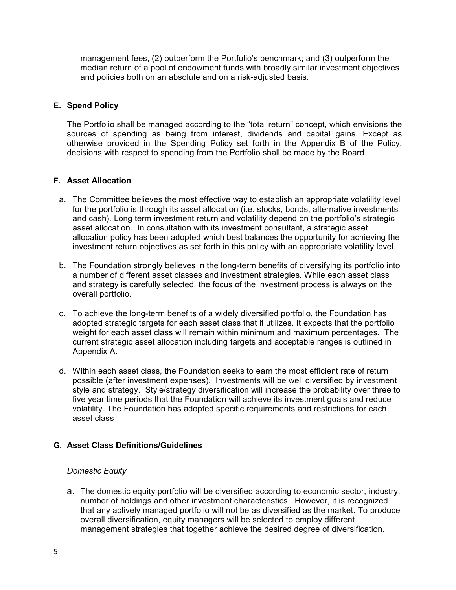management fees, (2) outperform the Portfolio's benchmark; and (3) outperform the median return of a pool of endowment funds with broadly similar investment objectives and policies both on an absolute and on a risk-adjusted basis.

## **E. Spend Policy**

The Portfolio shall be managed according to the "total return" concept, which envisions the sources of spending as being from interest, dividends and capital gains. Except as otherwise provided in the Spending Policy set forth in the Appendix B of the Policy, decisions with respect to spending from the Portfolio shall be made by the Board.

## **F. Asset Allocation**

- a. The Committee believes the most effective way to establish an appropriate volatility level for the portfolio is through its asset allocation (i.e. stocks, bonds, alternative investments and cash). Long term investment return and volatility depend on the portfolio's strategic asset allocation. In consultation with its investment consultant, a strategic asset allocation policy has been adopted which best balances the opportunity for achieving the investment return objectives as set forth in this policy with an appropriate volatility level.
- b. The Foundation strongly believes in the long-term benefits of diversifying its portfolio into a number of different asset classes and investment strategies. While each asset class and strategy is carefully selected, the focus of the investment process is always on the overall portfolio.
- c. To achieve the long-term benefits of a widely diversified portfolio, the Foundation has adopted strategic targets for each asset class that it utilizes. It expects that the portfolio weight for each asset class will remain within minimum and maximum percentages. The current strategic asset allocation including targets and acceptable ranges is outlined in Appendix A.
- d. Within each asset class, the Foundation seeks to earn the most efficient rate of return possible (after investment expenses). Investments will be well diversified by investment style and strategy. Style/strategy diversification will increase the probability over three to five year time periods that the Foundation will achieve its investment goals and reduce volatility. The Foundation has adopted specific requirements and restrictions for each asset class

# **G. Asset Class Definitions/Guidelines**

## *Domestic Equity*

a. The domestic equity portfolio will be diversified according to economic sector, industry, number of holdings and other investment characteristics. However, it is recognized that any actively managed portfolio will not be as diversified as the market. To produce overall diversification, equity managers will be selected to employ different management strategies that together achieve the desired degree of diversification.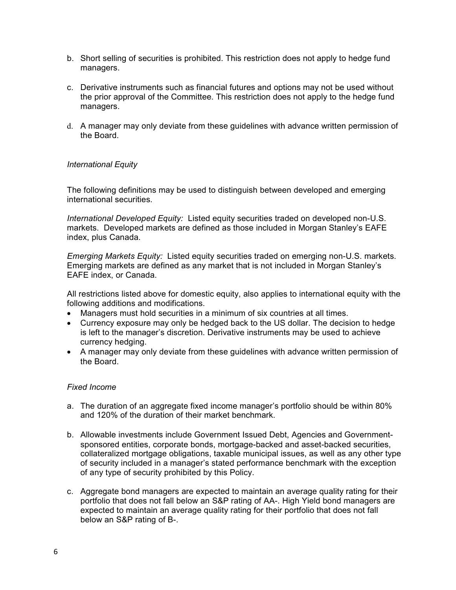- b. Short selling of securities is prohibited. This restriction does not apply to hedge fund managers.
- c. Derivative instruments such as financial futures and options may not be used without the prior approval of the Committee. This restriction does not apply to the hedge fund managers.
- d. A manager may only deviate from these guidelines with advance written permission of the Board.

## *International Equity*

The following definitions may be used to distinguish between developed and emerging international securities.

*International Developed Equity:* Listed equity securities traded on developed non-U.S. markets. Developed markets are defined as those included in Morgan Stanley's EAFE index, plus Canada.

*Emerging Markets Equity:* Listed equity securities traded on emerging non-U.S. markets. Emerging markets are defined as any market that is not included in Morgan Stanley's EAFE index, or Canada.

All restrictions listed above for domestic equity, also applies to international equity with the following additions and modifications.

- Managers must hold securities in a minimum of six countries at all times.
- Currency exposure may only be hedged back to the US dollar. The decision to hedge is left to the manager's discretion. Derivative instruments may be used to achieve currency hedging.
- A manager may only deviate from these guidelines with advance written permission of the Board.

#### *Fixed Income*

- a. The duration of an aggregate fixed income manager's portfolio should be within 80% and 120% of the duration of their market benchmark.
- b. Allowable investments include Government Issued Debt, Agencies and Governmentsponsored entities, corporate bonds, mortgage-backed and asset-backed securities, collateralized mortgage obligations, taxable municipal issues, as well as any other type of security included in a manager's stated performance benchmark with the exception of any type of security prohibited by this Policy.
- c. Aggregate bond managers are expected to maintain an average quality rating for their portfolio that does not fall below an S&P rating of AA-. High Yield bond managers are expected to maintain an average quality rating for their portfolio that does not fall below an S&P rating of B-.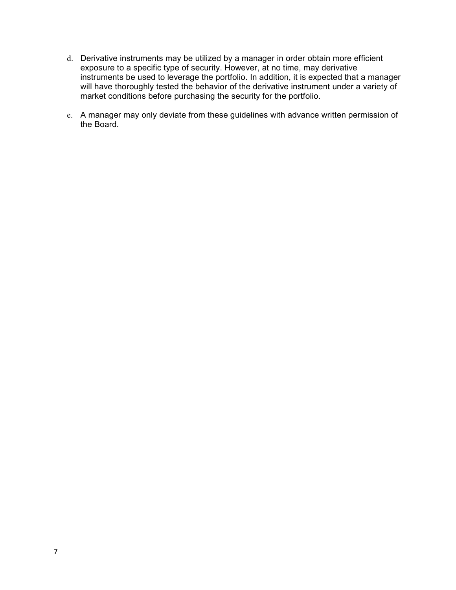- d. Derivative instruments may be utilized by a manager in order obtain more efficient exposure to a specific type of security. However, at no time, may derivative instruments be used to leverage the portfolio. In addition, it is expected that a manager will have thoroughly tested the behavior of the derivative instrument under a variety of market conditions before purchasing the security for the portfolio.
- e. A manager may only deviate from these guidelines with advance written permission of the Board.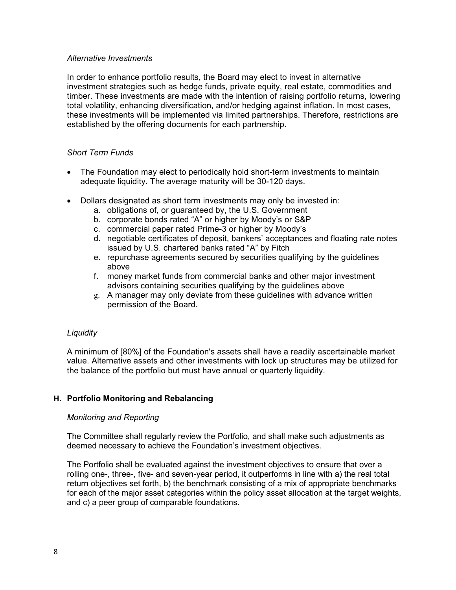### *Alternative Investments*

In order to enhance portfolio results, the Board may elect to invest in alternative investment strategies such as hedge funds, private equity, real estate, commodities and timber. These investments are made with the intention of raising portfolio returns, lowering total volatility, enhancing diversification, and/or hedging against inflation. In most cases, these investments will be implemented via limited partnerships. Therefore, restrictions are established by the offering documents for each partnership.

## *Short Term Funds*

- The Foundation may elect to periodically hold short-term investments to maintain adequate liquidity. The average maturity will be 30-120 days.
- Dollars designated as short term investments may only be invested in:
	- a. obligations of, or guaranteed by, the U.S. Government
	- b. corporate bonds rated "A" or higher by Moody's or S&P
	- c. commercial paper rated Prime-3 or higher by Moody's
	- d. negotiable certificates of deposit, bankers' acceptances and floating rate notes issued by U.S. chartered banks rated "A" by Fitch
	- e. repurchase agreements secured by securities qualifying by the guidelines above
	- f. money market funds from commercial banks and other major investment advisors containing securities qualifying by the guidelines above
	- g. A manager may only deviate from these guidelines with advance written permission of the Board.

## *Liquidity*

A minimum of [80%] of the Foundation's assets shall have a readily ascertainable market value. Alternative assets and other investments with lock up structures may be utilized for the balance of the portfolio but must have annual or quarterly liquidity.

# **H. Portfolio Monitoring and Rebalancing**

## *Monitoring and Reporting*

The Committee shall regularly review the Portfolio, and shall make such adjustments as deemed necessary to achieve the Foundation's investment objectives.

The Portfolio shall be evaluated against the investment objectives to ensure that over a rolling one-, three-, five- and seven-year period, it outperforms in line with a) the real total return objectives set forth, b) the benchmark consisting of a mix of appropriate benchmarks for each of the major asset categories within the policy asset allocation at the target weights, and c) a peer group of comparable foundations.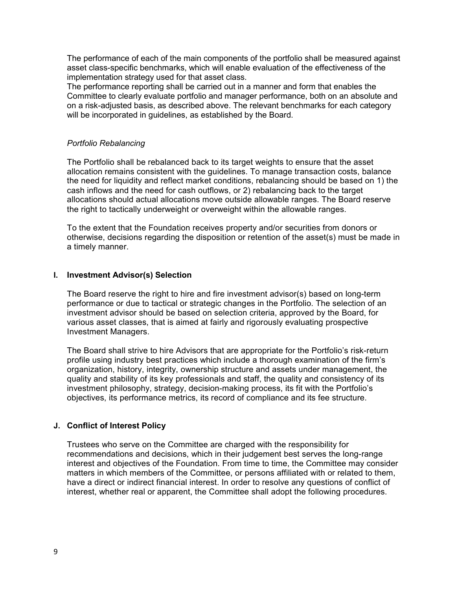The performance of each of the main components of the portfolio shall be measured against asset class-specific benchmarks, which will enable evaluation of the effectiveness of the implementation strategy used for that asset class.

The performance reporting shall be carried out in a manner and form that enables the Committee to clearly evaluate portfolio and manager performance, both on an absolute and on a risk-adjusted basis, as described above. The relevant benchmarks for each category will be incorporated in guidelines, as established by the Board.

### *Portfolio Rebalancing*

The Portfolio shall be rebalanced back to its target weights to ensure that the asset allocation remains consistent with the guidelines. To manage transaction costs, balance the need for liquidity and reflect market conditions, rebalancing should be based on 1) the cash inflows and the need for cash outflows, or 2) rebalancing back to the target allocations should actual allocations move outside allowable ranges. The Board reserve the right to tactically underweight or overweight within the allowable ranges.

To the extent that the Foundation receives property and/or securities from donors or otherwise, decisions regarding the disposition or retention of the asset(s) must be made in a timely manner.

#### **I. Investment Advisor(s) Selection**

The Board reserve the right to hire and fire investment advisor(s) based on long-term performance or due to tactical or strategic changes in the Portfolio. The selection of an investment advisor should be based on selection criteria, approved by the Board, for various asset classes, that is aimed at fairly and rigorously evaluating prospective Investment Managers.

The Board shall strive to hire Advisors that are appropriate for the Portfolio's risk-return profile using industry best practices which include a thorough examination of the firm's organization, history, integrity, ownership structure and assets under management, the quality and stability of its key professionals and staff, the quality and consistency of its investment philosophy, strategy, decision-making process, its fit with the Portfolio's objectives, its performance metrics, its record of compliance and its fee structure.

## **J. Conflict of Interest Policy**

Trustees who serve on the Committee are charged with the responsibility for recommendations and decisions, which in their judgement best serves the long-range interest and objectives of the Foundation. From time to time, the Committee may consider matters in which members of the Committee, or persons affiliated with or related to them, have a direct or indirect financial interest. In order to resolve any questions of conflict of interest, whether real or apparent, the Committee shall adopt the following procedures.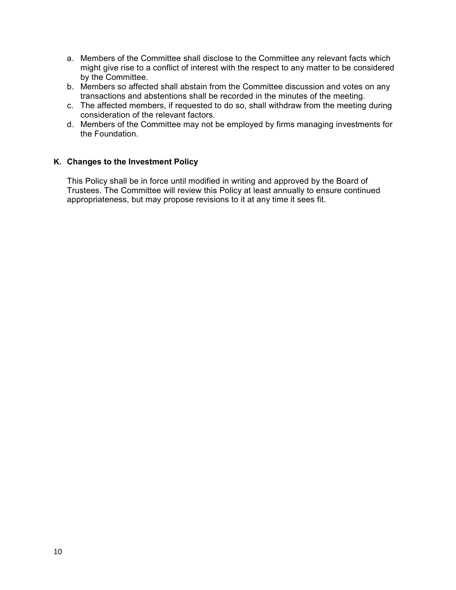- a. Members of the Committee shall disclose to the Committee any relevant facts which might give rise to a conflict of interest with the respect to any matter to be considered by the Committee.
- b. Members so affected shall abstain from the Committee discussion and votes on any transactions and abstentions shall be recorded in the minutes of the meeting.
- c. The affected members, if requested to do so, shall withdraw from the meeting during consideration of the relevant factors.
- d. Members of the Committee may not be employed by firms managing investments for the Foundation.

## **K. Changes to the Investment Policy**

This Policy shall be in force until modified in writing and approved by the Board of Trustees. The Committee will review this Policy at least annually to ensure continued appropriateness, but may propose revisions to it at any time it sees fit.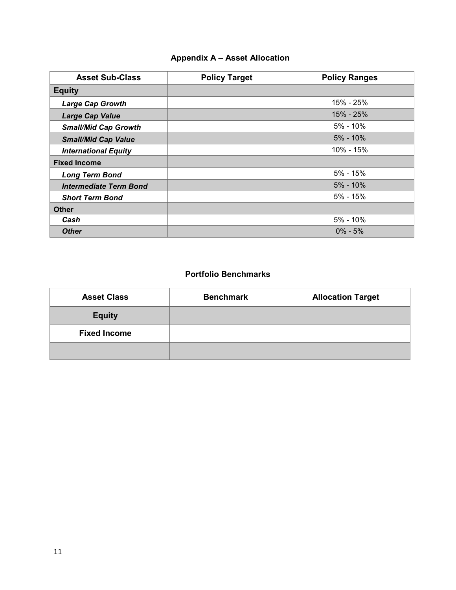# **Appendix A – Asset Allocation**

| <b>Asset Sub-Class</b>        | <b>Policy Target</b> | <b>Policy Ranges</b> |
|-------------------------------|----------------------|----------------------|
| <b>Equity</b>                 |                      |                      |
| <b>Large Cap Growth</b>       |                      | 15% - 25%            |
| <b>Large Cap Value</b>        |                      | 15% - 25%            |
| <b>Small/Mid Cap Growth</b>   |                      | $5\% - 10\%$         |
| <b>Small/Mid Cap Value</b>    |                      | $5\% - 10\%$         |
| <b>International Equity</b>   |                      | 10% - 15%            |
| <b>Fixed Income</b>           |                      |                      |
| <b>Long Term Bond</b>         |                      | $5% - 15%$           |
| <b>Intermediate Term Bond</b> |                      | $5\% - 10\%$         |
| <b>Short Term Bond</b>        |                      | $5% - 15%$           |
| <b>Other</b>                  |                      |                      |
| Cash                          |                      | $5\% - 10\%$         |
| <b>Other</b>                  |                      | $0\% - 5\%$          |

# **Portfolio Benchmarks**

| <b>Asset Class</b>  | <b>Benchmark</b> | <b>Allocation Target</b> |
|---------------------|------------------|--------------------------|
| <b>Equity</b>       |                  |                          |
| <b>Fixed Income</b> |                  |                          |
|                     |                  |                          |